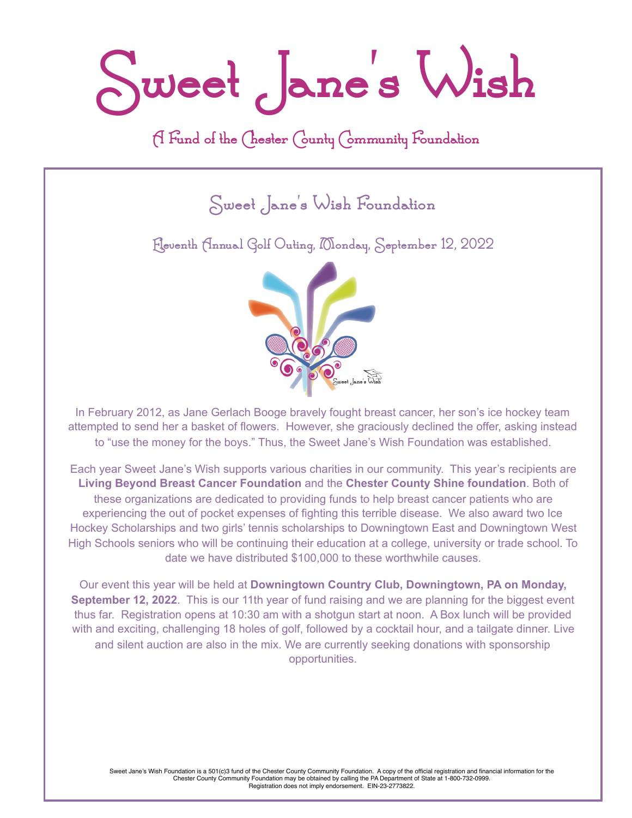**Sweet Jane's Wish**

### **A Fund of the Chester County Community Foundation**

**Sweet Jane's Wish Foundation** 

**Eleventh Annual Golf Outing, Monday, September 12, 2022**



In February 2012, as Jane Gerlach Booge bravely fought breast cancer, her son's ice hockey team attempted to send her a basket of flowers. However, she graciously declined the offer, asking instead to "use the money for the boys." Thus, the Sweet Jane's Wish Foundation was established.

Each year Sweet Jane's Wish supports various charities in our community. This year's recipients are **Living Beyond Breast Cancer Foundation** and the **Chester County Shine foundation**. Both of these organizations are dedicated to providing funds to help breast cancer patients who are experiencing the out of pocket expenses of fighting this terrible disease. We also award two Ice Hockey Scholarships and two girls' tennis scholarships to Downingtown East and Downingtown West High Schools seniors who will be continuing their education at a college, university or trade school. To date we have distributed \$100,000 to these worthwhile causes.

Our event this year will be held at **Downingtown Country Club, Downingtown, PA on Monday, September 12, 2022**. This is our 11th year of fund raising and we are planning for the biggest event thus far. Registration opens at 10:30 am with a shotgun start at noon. A Box lunch will be provided with and exciting, challenging 18 holes of golf, followed by a cocktail hour, and a tailgate dinner. Live and silent auction are also in the mix. We are currently seeking donations with sponsorship opportunities.

Sweet Jane's Wish Foundation is a 501(c)3 fund of the Chester County Community Foundation. A copy of the official registration and financial information for the<br>Chester County Community Foundation may be obtained by callin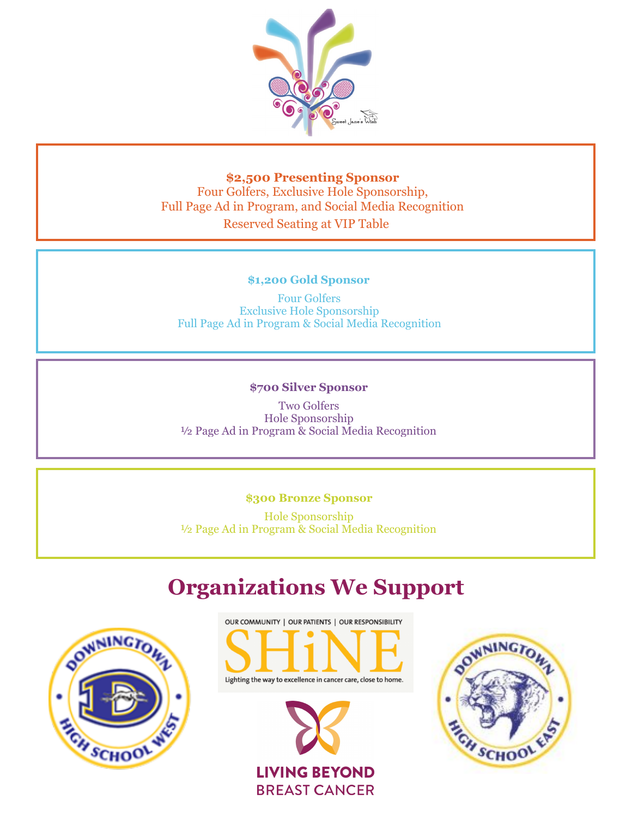

**\$2,500 Presenting Sponsor** Four Golfers, Exclusive Hole Sponsorship, Full Page Ad in Program, and Social Media Recognition Reserved Seating at VIP Table

#### **\$1,200 Gold Sponsor**

Four Golfers Exclusive Hole Sponsorship Full Page Ad in Program & Social Media Recognition

#### **\$700 Silver Sponsor**

Two Golfers Hole Sponsorship ½ Page Ad in Program & Social Media Recognition

#### **\$300 Bronze Sponsor**

Hole Sponsorship ½ Page Ad in Program & Social Media Recognition

## **Organizations We Support**







**BREAST CANCER**